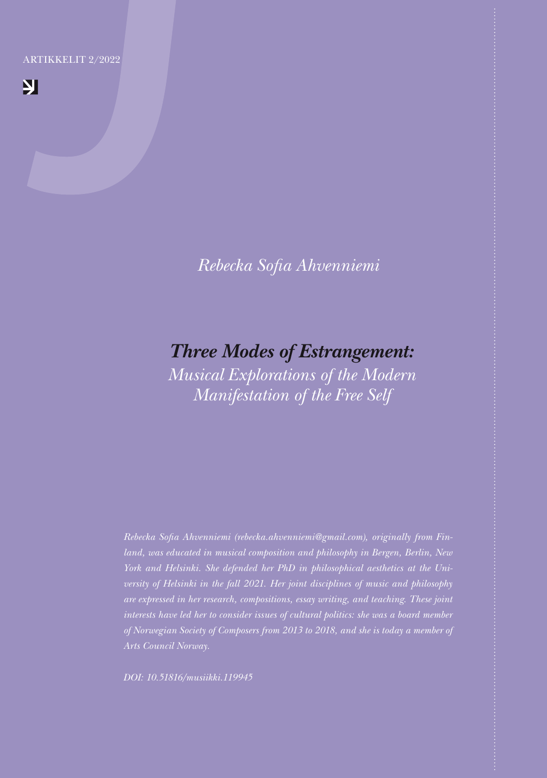ARTIKKELIT 2/2022

 $\mathbf{N}$ 

*Rebecka Sofia Ahvenniemi*

# *Three Modes of Estrangement:*

*Musical Explorations of the Modern Manifestation of the Free Self*

*Rebecka Sofia Ahvenniemi (rebecka.ahvenniemi@gmail.com), originally from Finland, was educated in musical composition and philosophy in Bergen, Berlin, New York and Helsinki. She defended her PhD in philosophical aesthetics at the University of Helsinki in the fall 2021. Her joint disciplines of music and philosophy are expressed in her research, compositions, essay writing, and teaching. These joint of Norwegian Society of Composers from 2013 to 2018, and she is today a member of* 

*DOI: 10.51816/musiikki.119945*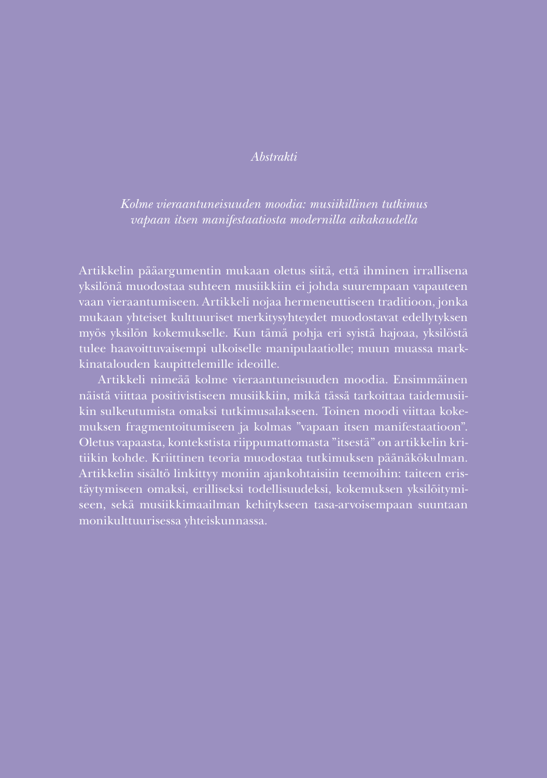# *Abstrakti*

*Kolme vieraantuneisuuden moodia: musiikillinen tutkimus vapaan itsen manifestaatiosta modernilla aikakaudella*

Artikkelin pääargumentin mukaan oletus siitä, että ihminen irrallisena yksilönä muodostaa suhteen musiikkiin ei johda suurempaan vapauteen vaan vieraantumiseen. Artikkeli nojaa hermeneuttiseen traditioon, jonka mukaan yhteiset kulttuuriset merkitysyhteydet muodostavat edellytyksen myös yksilön kokemukselle. Kun tämä pohja eri syistä hajoaa, yksilöstä tulee haavoittuvaisempi ulkoiselle manipulaatiolle; muun muassa markkinatalouden kaupittelemille ideoille.

Artikkeli nimeää kolme vieraantuneisuuden moodia. Ensimmäinen näistä viittaa positivistiseen musiikkiin, mikä tässä tarkoittaa taidemusiikin sulkeutumista omaksi tutkimusalakseen. Toinen moodi viittaa kokemuksen fragmentoitumiseen ja kolmas "vapaan itsen manifestaatioon". Oletus vapaasta, kontekstista riippumattomasta "itsestä" on artikkelin kritiikin kohde. Kriittinen teoria muodostaa tutkimuksen päänäkökulman. Artikkelin sisältö linkittyy moniin ajankohtaisiin teemoihin: taiteen eristäytymiseen omaksi, erilliseksi todellisuudeksi, kokemuksen yksilöitymiseen, sekä musiikkimaailman kehitykseen tasa-arvoisempaan suuntaan monikulttuurisessa yhteiskunnassa.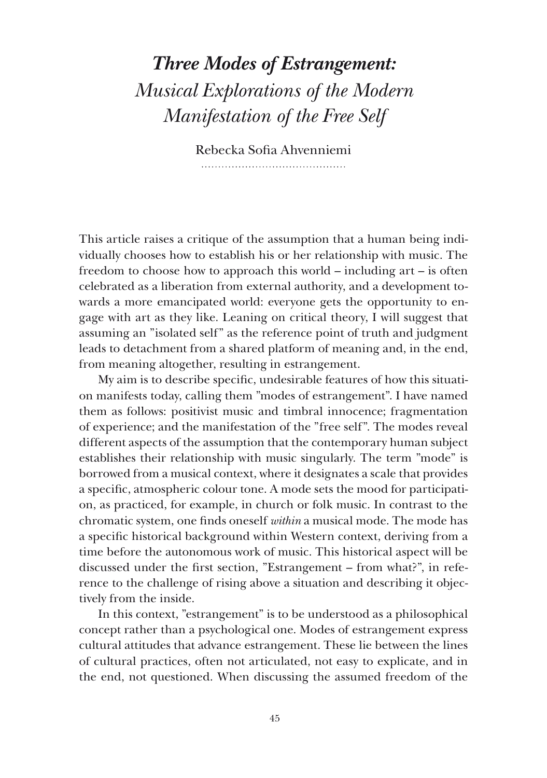# *Three Modes of Estrangement: Musical Explorations of the Modern Manifestation of the Free Self*

Rebecka Sofia Ahvenniemi 

This article raises a critique of the assumption that a human being individually chooses how to establish his or her relationship with music. The freedom to choose how to approach this world – including art – is often celebrated as a liberation from external authority, and a development towards a more emancipated world: everyone gets the opportunity to engage with art as they like. Leaning on critical theory, I will suggest that assuming an "isolated self" as the reference point of truth and judgment leads to detachment from a shared platform of meaning and, in the end, from meaning altogether, resulting in estrangement.

My aim is to describe specific, undesirable features of how this situation manifests today, calling them "modes of estrangement". I have named them as follows: positivist music and timbral innocence; fragmentation of experience; and the manifestation of the "free self". The modes reveal different aspects of the assumption that the contemporary human subject establishes their relationship with music singularly. The term "mode" is borrowed from a musical context, where it designates a scale that provides a specific, atmospheric colour tone. A mode sets the mood for participation, as practiced, for example, in church or folk music. In contrast to the chromatic system, one finds oneself *within* a musical mode. The mode has a specific historical background within Western context, deriving from a time before the autonomous work of music. This historical aspect will be discussed under the first section, "Estrangement – from what?", in reference to the challenge of rising above a situation and describing it objectively from the inside.

In this context, "estrangement" is to be understood as a philosophical concept rather than a psychological one. Modes of estrangement express cultural attitudes that advance estrangement. These lie between the lines of cultural practices, often not articulated, not easy to explicate, and in the end, not questioned. When discussing the assumed freedom of the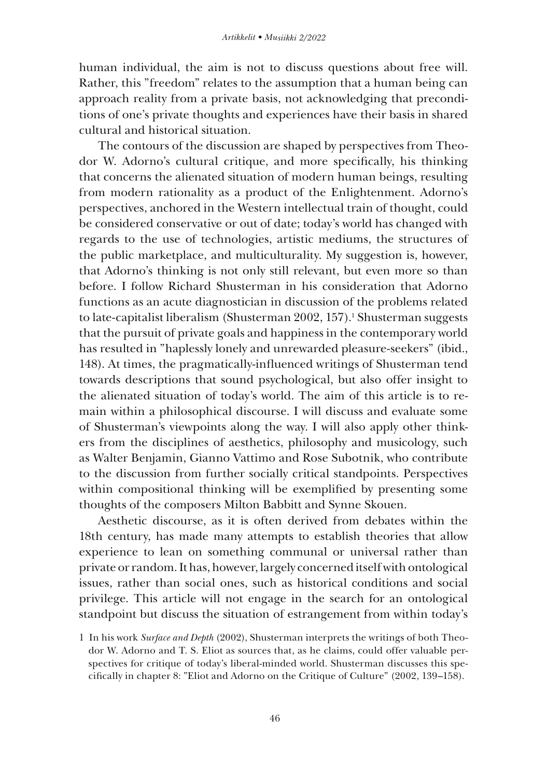human individual, the aim is not to discuss questions about free will. Rather, this "freedom" relates to the assumption that a human being can approach reality from a private basis, not acknowledging that preconditions of one's private thoughts and experiences have their basis in shared cultural and historical situation.

The contours of the discussion are shaped by perspectives from Theodor W. Adorno's cultural critique, and more specifically, his thinking that concerns the alienated situation of modern human beings, resulting from modern rationality as a product of the Enlightenment. Adorno's perspectives, anchored in the Western intellectual train of thought, could be considered conservative or out of date; today's world has changed with regards to the use of technologies, artistic mediums, the structures of the public marketplace, and multiculturality. My suggestion is, however, that Adorno's thinking is not only still relevant, but even more so than before. I follow Richard Shusterman in his consideration that Adorno functions as an acute diagnostician in discussion of the problems related to late-capitalist liberalism (Shusterman 2002, 157).<sup>1</sup> Shusterman suggests that the pursuit of private goals and happiness in the contemporary world has resulted in "haplessly lonely and unrewarded pleasure-seekers" (ibid., 148). At times, the pragmatically-influenced writings of Shusterman tend towards descriptions that sound psychological, but also offer insight to the alienated situation of today's world. The aim of this article is to remain within a philosophical discourse. I will discuss and evaluate some of Shusterman's viewpoints along the way. I will also apply other thinkers from the disciplines of aesthetics, philosophy and musicology, such as Walter Benjamin, Gianno Vattimo and Rose Subotnik, who contribute to the discussion from further socially critical standpoints. Perspectives within compositional thinking will be exemplified by presenting some thoughts of the composers Milton Babbitt and Synne Skouen.

Aesthetic discourse, as it is often derived from debates within the 18th century, has made many attempts to establish theories that allow experience to lean on something communal or universal rather than private or random. It has, however, largely concerned itself with ontological issues, rather than social ones, such as historical conditions and social privilege. This article will not engage in the search for an ontological standpoint but discuss the situation of estrangement from within today's

*DOI:<https://doi.org/10.51816/musiikki.111752>* cifically in chapter 8: "Eliot and Adorno on the Critique of Culture" (2002, 139–158).1 In his work *Surface and Depth* (2002), Shusterman interprets the writings of both Theodor W. Adorno and T. S. Eliot as sources that, as he claims, could offer valuable perspectives for critique of today's liberal-minded world. Shusterman discusses this spe-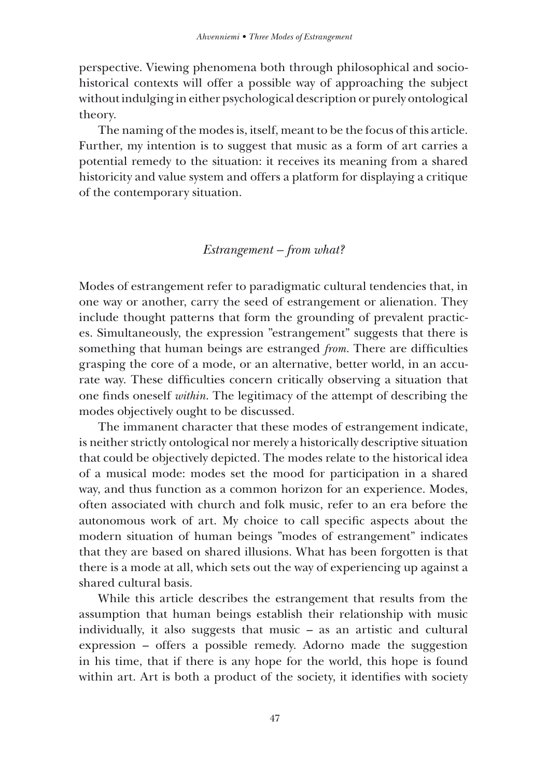perspective. Viewing phenomena both through philosophical and sociohistorical contexts will offer a possible way of approaching the subject without indulging in either psychological description or purely ontological theory.

The naming of the modes is, itself, meant to be the focus of this article. Further, my intention is to suggest that music as a form of art carries a potential remedy to the situation: it receives its meaning from a shared historicity and value system and offers a platform for displaying a critique of the contemporary situation.

#### *Estrangement – from what?*

Modes of estrangement refer to paradigmatic cultural tendencies that, in one way or another, carry the seed of estrangement or alienation. They include thought patterns that form the grounding of prevalent practices. Simultaneously, the expression "estrangement" suggests that there is something that human beings are estranged *from*. There are difficulties grasping the core of a mode, or an alternative, better world, in an accurate way. These difficulties concern critically observing a situation that one finds oneself *within*. The legitimacy of the attempt of describing the modes objectively ought to be discussed.

The immanent character that these modes of estrangement indicate, is neither strictly ontological nor merely a historically descriptive situation that could be objectively depicted. The modes relate to the historical idea of a musical mode: modes set the mood for participation in a shared way, and thus function as a common horizon for an experience. Modes, often associated with church and folk music, refer to an era before the autonomous work of art. My choice to call specific aspects about the modern situation of human beings "modes of estrangement" indicates that they are based on shared illusions. What has been forgotten is that there is a mode at all, which sets out the way of experiencing up against a shared cultural basis.

While this article describes the estrangement that results from the assumption that human beings establish their relationship with music individually, it also suggests that music – as an artistic and cultural expression – offers a possible remedy. Adorno made the suggestion in his time, that if there is any hope for the world, this hope is found within art. Art is both a product of the society, it identifies with society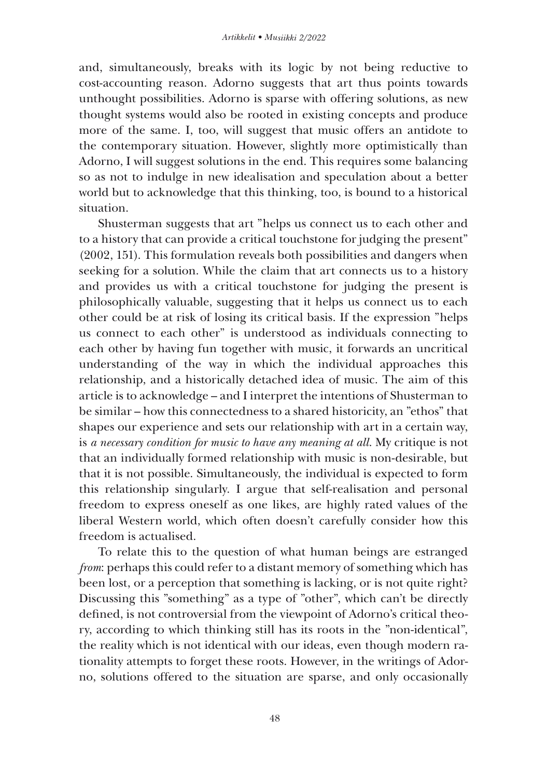and, simultaneously, breaks with its logic by not being reductive to cost-accounting reason. Adorno suggests that art thus points towards unthought possibilities. Adorno is sparse with offering solutions, as new thought systems would also be rooted in existing concepts and produce more of the same. I, too, will suggest that music offers an antidote to the contemporary situation. However, slightly more optimistically than Adorno, I will suggest solutions in the end. This requires some balancing so as not to indulge in new idealisation and speculation about a better world but to acknowledge that this thinking, too, is bound to a historical situation.

Shusterman suggests that art "helps us connect us to each other and to a history that can provide a critical touchstone for judging the present" (2002, 151). This formulation reveals both possibilities and dangers when seeking for a solution. While the claim that art connects us to a history and provides us with a critical touchstone for judging the present is philosophically valuable, suggesting that it helps us connect us to each other could be at risk of losing its critical basis. If the expression "helps us connect to each other" is understood as individuals connecting to each other by having fun together with music, it forwards an uncritical understanding of the way in which the individual approaches this relationship, and a historically detached idea of music. The aim of this article is to acknowledge – and I interpret the intentions of Shusterman to be similar – how this connectedness to a shared historicity, an "ethos" that shapes our experience and sets our relationship with art in a certain way, is *a necessary condition for music to have any meaning at all*. My critique is not that an individually formed relationship with music is non-desirable, but that it is not possible. Simultaneously, the individual is expected to form this relationship singularly. I argue that self-realisation and personal freedom to express oneself as one likes, are highly rated values of the liberal Western world, which often doesn't carefully consider how this freedom is actualised.

To relate this to the question of what human beings are estranged *from*: perhaps this could refer to a distant memory of something which has been lost, or a perception that something is lacking, or is not quite right? Discussing this "something" as a type of "other", which can't be directly defined, is not controversial from the viewpoint of Adorno's critical theory, according to which thinking still has its roots in the "non-identical", the reality which is not identical with our ideas, even though modern rationality attempts to forget these roots. However, in the writings of Adorno, solutions offered to the situation are sparse, and only occasionally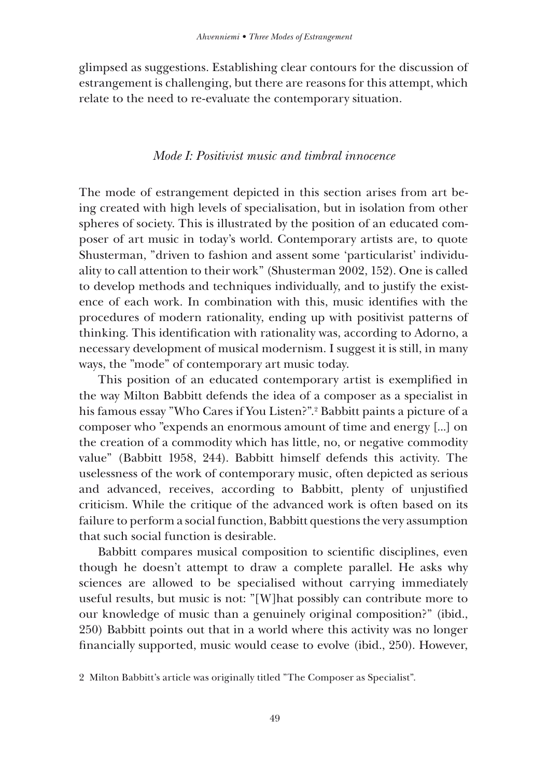glimpsed as suggestions. Establishing clear contours for the discussion of estrangement is challenging, but there are reasons for this attempt, which relate to the need to re-evaluate the contemporary situation.

# *Mode I: Positivist music and timbral innocence*

The mode of estrangement depicted in this section arises from art being created with high levels of specialisation, but in isolation from other spheres of society. This is illustrated by the position of an educated composer of art music in today's world. Contemporary artists are, to quote Shusterman, "driven to fashion and assent some 'particularist' individuality to call attention to their work" (Shusterman 2002, 152). One is called to develop methods and techniques individually, and to justify the existence of each work. In combination with this, music identifies with the procedures of modern rationality, ending up with positivist patterns of thinking. This identification with rationality was, according to Adorno, a necessary development of musical modernism. I suggest it is still, in many ways, the "mode" of contemporary art music today.

This position of an educated contemporary artist is exemplified in the way Milton Babbitt defends the idea of a composer as a specialist in his famous essay "Who Cares if You Listen?".2 Babbitt paints a picture of a composer who "expends an enormous amount of time and energy [...] on the creation of a commodity which has little, no, or negative commodity value" (Babbitt 1958, 244). Babbitt himself defends this activity. The uselessness of the work of contemporary music, often depicted as serious and advanced, receives, according to Babbitt, plenty of unjustified criticism. While the critique of the advanced work is often based on its failure to perform a social function, Babbitt questions the very assumption that such social function is desirable.

Babbitt compares musical composition to scientific disciplines, even though he doesn't attempt to draw a complete parallel. He asks why sciences are allowed to be specialised without carrying immediately useful results, but music is not: "[W]hat possibly can contribute more to our knowledge of music than a genuinely original composition?" (ibid., 250) Babbitt points out that in a world where this activity was no longer financially supported, music would cease to evolve (ibid., 250). However,

<sup>2</sup> Milton Babbitt's article was originally titled "The Composer as Specialist".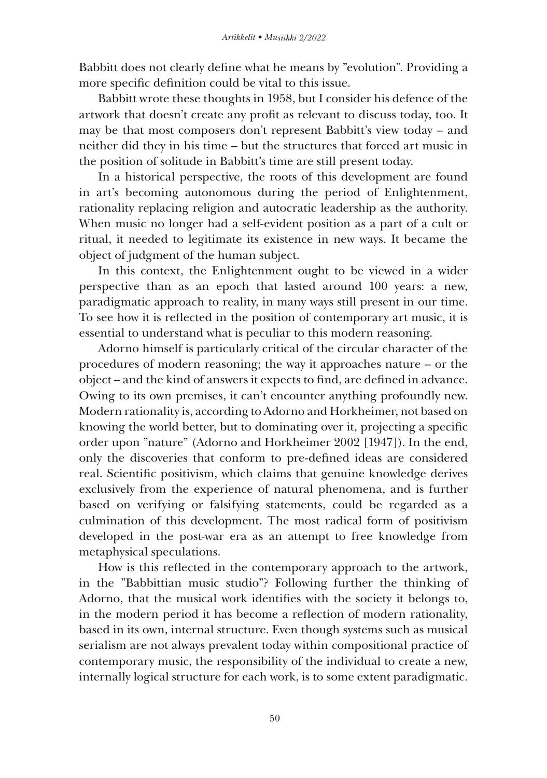Babbitt does not clearly define what he means by "evolution". Providing a more specific definition could be vital to this issue.

Babbitt wrote these thoughts in 1958, but I consider his defence of the artwork that doesn't create any profit as relevant to discuss today, too. It may be that most composers don't represent Babbitt's view today – and neither did they in his time – but the structures that forced art music in the position of solitude in Babbitt's time are still present today.

In a historical perspective, the roots of this development are found in art's becoming autonomous during the period of Enlightenment, rationality replacing religion and autocratic leadership as the authority. When music no longer had a self-evident position as a part of a cult or ritual, it needed to legitimate its existence in new ways. It became the object of judgment of the human subject.

In this context, the Enlightenment ought to be viewed in a wider perspective than as an epoch that lasted around 100 years: a new, paradigmatic approach to reality, in many ways still present in our time. To see how it is reflected in the position of contemporary art music, it is essential to understand what is peculiar to this modern reasoning.

Adorno himself is particularly critical of the circular character of the procedures of modern reasoning; the way it approaches nature – or the object – and the kind of answers it expects to find, are defined in advance. Owing to its own premises, it can't encounter anything profoundly new. Modern rationality is, according to Adorno and Horkheimer, not based on knowing the world better, but to dominating over it, projecting a specific order upon "nature" (Adorno and Horkheimer 2002 [1947]). In the end, only the discoveries that conform to pre-defined ideas are considered real. Scientific positivism, which claims that genuine knowledge derives exclusively from the experience of natural phenomena, and is further based on verifying or falsifying statements, could be regarded as a culmination of this development. The most radical form of positivism developed in the post-war era as an attempt to free knowledge from metaphysical speculations.

How is this reflected in the contemporary approach to the artwork, in the "Babbittian music studio"? Following further the thinking of Adorno, that the musical work identifies with the society it belongs to, in the modern period it has become a reflection of modern rationality, based in its own, internal structure. Even though systems such as musical serialism are not always prevalent today within compositional practice of contemporary music, the responsibility of the individual to create a new, internally logical structure for each work, is to some extent paradigmatic.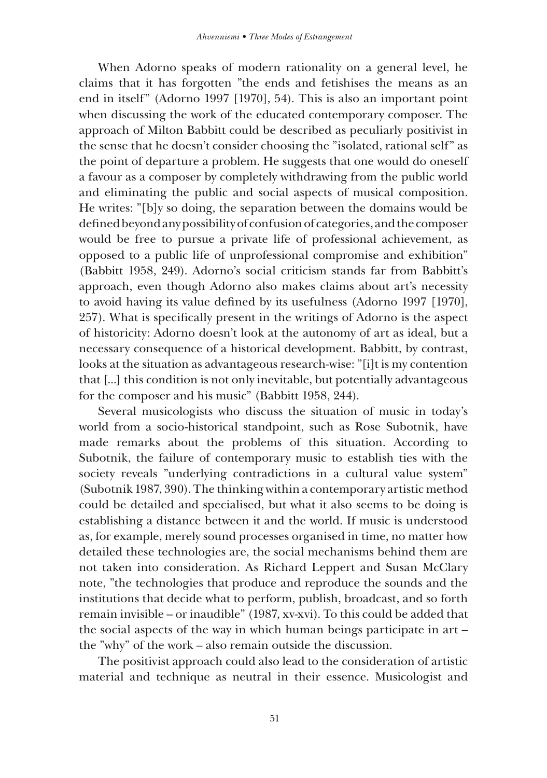When Adorno speaks of modern rationality on a general level, he claims that it has forgotten "the ends and fetishises the means as an end in itself" (Adorno 1997 [1970], 54). This is also an important point when discussing the work of the educated contemporary composer. The approach of Milton Babbitt could be described as peculiarly positivist in the sense that he doesn't consider choosing the "isolated, rational self" as the point of departure a problem. He suggests that one would do oneself a favour as a composer by completely withdrawing from the public world and eliminating the public and social aspects of musical composition. He writes: "[b]y so doing, the separation between the domains would be defined beyond any possibility of confusion of categories, and the composer would be free to pursue a private life of professional achievement, as opposed to a public life of unprofessional compromise and exhibition" (Babbitt 1958, 249). Adorno's social criticism stands far from Babbitt's approach, even though Adorno also makes claims about art's necessity to avoid having its value defined by its usefulness (Adorno 1997 [1970], 257). What is specifically present in the writings of Adorno is the aspect of historicity: Adorno doesn't look at the autonomy of art as ideal, but a necessary consequence of a historical development. Babbitt, by contrast, looks at the situation as advantageous research-wise: "[i]t is my contention that [...] this condition is not only inevitable, but potentially advantageous for the composer and his music" (Babbitt 1958, 244).

Several musicologists who discuss the situation of music in today's world from a socio-historical standpoint, such as Rose Subotnik, have made remarks about the problems of this situation. According to Subotnik, the failure of contemporary music to establish ties with the society reveals "underlying contradictions in a cultural value system" (Subotnik 1987, 390). The thinking within a contemporary artistic method could be detailed and specialised, but what it also seems to be doing is establishing a distance between it and the world. If music is understood as, for example, merely sound processes organised in time, no matter how detailed these technologies are, the social mechanisms behind them are not taken into consideration. As Richard Leppert and Susan McClary note, "the technologies that produce and reproduce the sounds and the institutions that decide what to perform, publish, broadcast, and so forth remain invisible – or inaudible" (1987, xv-xvi). To this could be added that the social aspects of the way in which human beings participate in art – the "why" of the work – also remain outside the discussion.

The positivist approach could also lead to the consideration of artistic material and technique as neutral in their essence. Musicologist and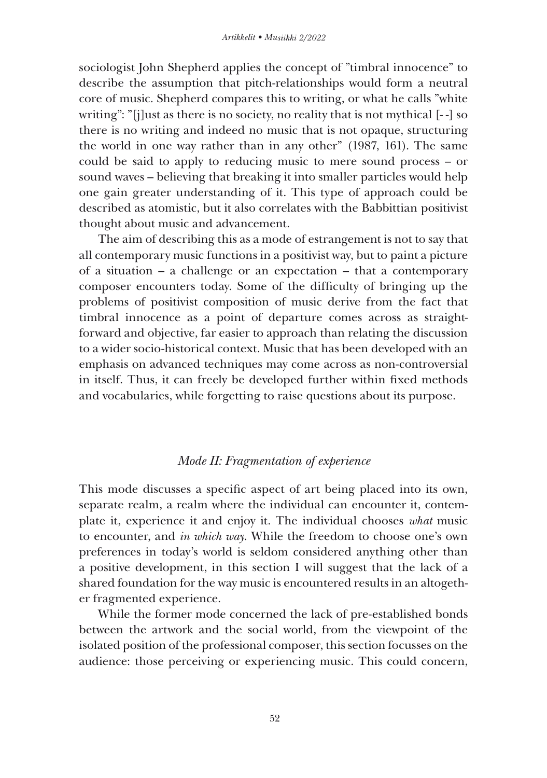sociologist John Shepherd applies the concept of "timbral innocence" to describe the assumption that pitch-relationships would form a neutral core of music. Shepherd compares this to writing, or what he calls "white writing": "[j]ust as there is no society, no reality that is not mythical [- -] so there is no writing and indeed no music that is not opaque, structuring the world in one way rather than in any other" (1987, 161). The same could be said to apply to reducing music to mere sound process – or sound waves – believing that breaking it into smaller particles would help one gain greater understanding of it. This type of approach could be described as atomistic, but it also correlates with the Babbittian positivist thought about music and advancement.

The aim of describing this as a mode of estrangement is not to say that all contemporary music functions in a positivist way, but to paint a picture of a situation – a challenge or an expectation – that a contemporary composer encounters today. Some of the difficulty of bringing up the problems of positivist composition of music derive from the fact that timbral innocence as a point of departure comes across as straightforward and objective, far easier to approach than relating the discussion to a wider socio-historical context. Music that has been developed with an emphasis on advanced techniques may come across as non-controversial in itself. Thus, it can freely be developed further within fixed methods and vocabularies, while forgetting to raise questions about its purpose.

#### *Mode II: Fragmentation of experience*

This mode discusses a specific aspect of art being placed into its own, separate realm, a realm where the individual can encounter it, contemplate it, experience it and enjoy it. The individual chooses *what* music to encounter, and *in which way*. While the freedom to choose one's own preferences in today's world is seldom considered anything other than a positive development, in this section I will suggest that the lack of a shared foundation for the way music is encountered results in an altogether fragmented experience.

While the former mode concerned the lack of pre-established bonds between the artwork and the social world, from the viewpoint of the isolated position of the professional composer, this section focusses on the audience: those perceiving or experiencing music. This could concern,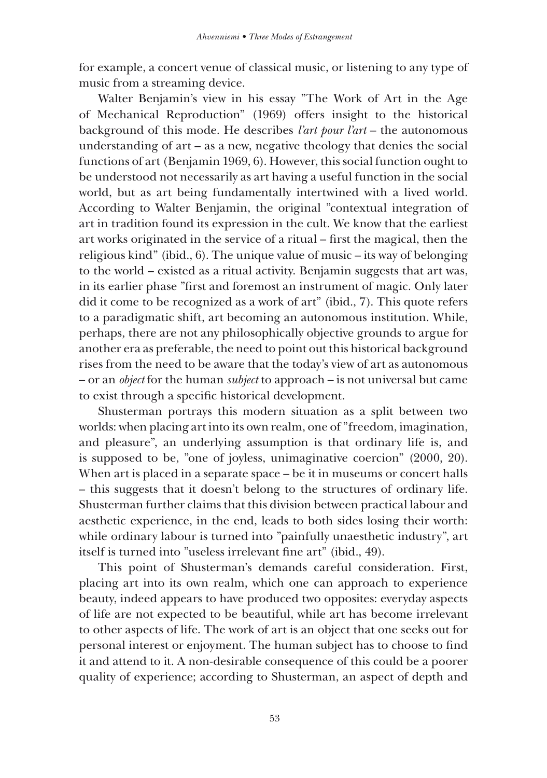for example, a concert venue of classical music, or listening to any type of music from a streaming device.

Walter Benjamin's view in his essay "The Work of Art in the Age of Mechanical Reproduction" (1969) offers insight to the historical background of this mode. He describes *l'art pour l'art* – the autonomous understanding of art – as a new, negative theology that denies the social functions of art (Benjamin 1969, 6). However, this social function ought to be understood not necessarily as art having a useful function in the social world, but as art being fundamentally intertwined with a lived world. According to Walter Benjamin, the original "contextual integration of art in tradition found its expression in the cult. We know that the earliest art works originated in the service of a ritual – first the magical, then the religious kind" (ibid., 6). The unique value of music – its way of belonging to the world – existed as a ritual activity. Benjamin suggests that art was, in its earlier phase "first and foremost an instrument of magic. Only later did it come to be recognized as a work of art" (ibid., 7). This quote refers to a paradigmatic shift, art becoming an autonomous institution. While, perhaps, there are not any philosophically objective grounds to argue for another era as preferable, the need to point out this historical background rises from the need to be aware that the today's view of art as autonomous – or an *object* for the human *subject* to approach – is not universal but came to exist through a specific historical development.

Shusterman portrays this modern situation as a split between two worlds: when placing art into its own realm, one of "freedom, imagination, and pleasure", an underlying assumption is that ordinary life is, and is supposed to be, "one of joyless, unimaginative coercion" (2000, 20). When art is placed in a separate space – be it in museums or concert halls – this suggests that it doesn't belong to the structures of ordinary life. Shusterman further claims that this division between practical labour and aesthetic experience, in the end, leads to both sides losing their worth: while ordinary labour is turned into "painfully unaesthetic industry", art itself is turned into "useless irrelevant fine art" (ibid., 49).

This point of Shusterman's demands careful consideration. First, placing art into its own realm, which one can approach to experience beauty, indeed appears to have produced two opposites: everyday aspects of life are not expected to be beautiful, while art has become irrelevant to other aspects of life. The work of art is an object that one seeks out for personal interest or enjoyment. The human subject has to choose to find it and attend to it. A non-desirable consequence of this could be a poorer quality of experience; according to Shusterman, an aspect of depth and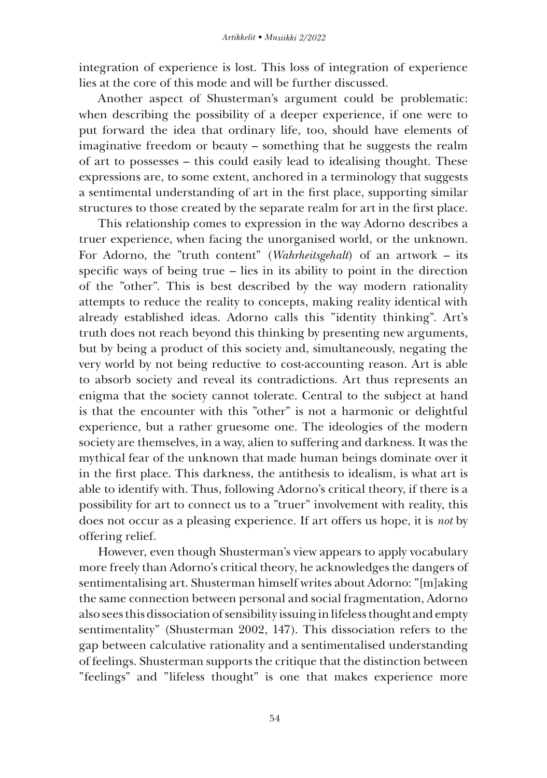integration of experience is lost. This loss of integration of experience lies at the core of this mode and will be further discussed.

Another aspect of Shusterman's argument could be problematic: when describing the possibility of a deeper experience, if one were to put forward the idea that ordinary life, too, should have elements of imaginative freedom or beauty – something that he suggests the realm of art to possesses – this could easily lead to idealising thought. These expressions are, to some extent, anchored in a terminology that suggests a sentimental understanding of art in the first place, supporting similar structures to those created by the separate realm for art in the first place.

This relationship comes to expression in the way Adorno describes a truer experience, when facing the unorganised world, or the unknown. For Adorno, the "truth content" (*Wahrheitsgehalt*) of an artwork – its specific ways of being true – lies in its ability to point in the direction of the "other". This is best described by the way modern rationality attempts to reduce the reality to concepts, making reality identical with already established ideas. Adorno calls this "identity thinking". Art's truth does not reach beyond this thinking by presenting new arguments, but by being a product of this society and, simultaneously, negating the very world by not being reductive to cost-accounting reason. Art is able to absorb society and reveal its contradictions. Art thus represents an enigma that the society cannot tolerate. Central to the subject at hand is that the encounter with this "other" is not a harmonic or delightful experience, but a rather gruesome one. The ideologies of the modern society are themselves, in a way, alien to suffering and darkness. It was the mythical fear of the unknown that made human beings dominate over it in the first place. This darkness, the antithesis to idealism, is what art is able to identify with. Thus, following Adorno's critical theory, if there is a possibility for art to connect us to a "truer" involvement with reality, this does not occur as a pleasing experience. If art offers us hope, it is *not* by offering relief.

However, even though Shusterman's view appears to apply vocabulary more freely than Adorno's critical theory, he acknowledges the dangers of sentimentalising art. Shusterman himself writes about Adorno: "[m]aking the same connection between personal and social fragmentation, Adorno also sees this dissociation of sensibility issuing in lifeless thought and empty sentimentality" (Shusterman 2002, 147). This dissociation refers to the gap between calculative rationality and a sentimentalised understanding of feelings. Shusterman supports the critique that the distinction between "feelings" and "lifeless thought" is one that makes experience more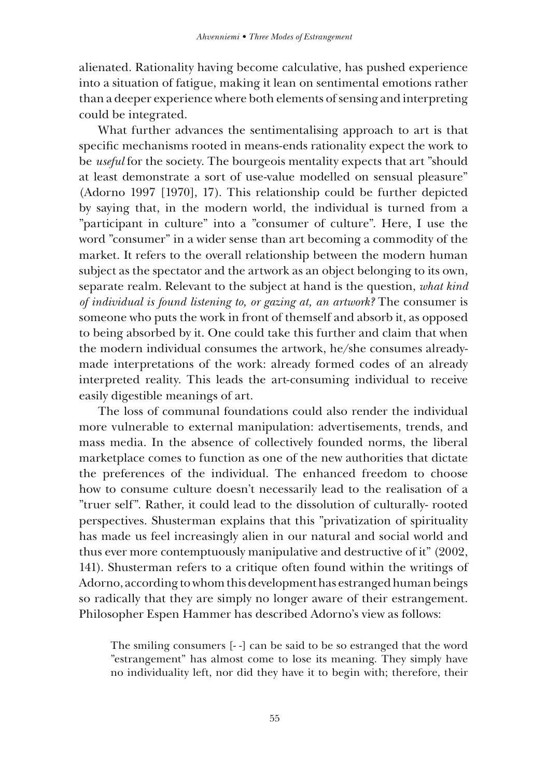alienated. Rationality having become calculative, has pushed experience into a situation of fatigue, making it lean on sentimental emotions rather than a deeper experience where both elements of sensing and interpreting could be integrated.

What further advances the sentimentalising approach to art is that specific mechanisms rooted in means-ends rationality expect the work to be *useful* for the society. The bourgeois mentality expects that art "should at least demonstrate a sort of use-value modelled on sensual pleasure" (Adorno 1997 [1970], 17). This relationship could be further depicted by saying that, in the modern world, the individual is turned from a "participant in culture" into a "consumer of culture". Here, I use the word "consumer" in a wider sense than art becoming a commodity of the market. It refers to the overall relationship between the modern human subject as the spectator and the artwork as an object belonging to its own, separate realm. Relevant to the subject at hand is the question, *what kind of individual is found listening to, or gazing at, an artwork?* The consumer is someone who puts the work in front of themself and absorb it, as opposed to being absorbed by it. One could take this further and claim that when the modern individual consumes the artwork, he/she consumes alreadymade interpretations of the work: already formed codes of an already interpreted reality. This leads the art-consuming individual to receive easily digestible meanings of art.

The loss of communal foundations could also render the individual more vulnerable to external manipulation: advertisements, trends, and mass media. In the absence of collectively founded norms, the liberal marketplace comes to function as one of the new authorities that dictate the preferences of the individual. The enhanced freedom to choose how to consume culture doesn't necessarily lead to the realisation of a "truer self". Rather, it could lead to the dissolution of culturally- rooted perspectives. Shusterman explains that this "privatization of spirituality has made us feel increasingly alien in our natural and social world and thus ever more contemptuously manipulative and destructive of it" (2002, 141). Shusterman refers to a critique often found within the writings of Adorno, according to whom this development has estranged human beings so radically that they are simply no longer aware of their estrangement. Philosopher Espen Hammer has described Adorno's view as follows:

The smiling consumers [- -] can be said to be so estranged that the word "estrangement" has almost come to lose its meaning. They simply have no individuality left, nor did they have it to begin with; therefore, their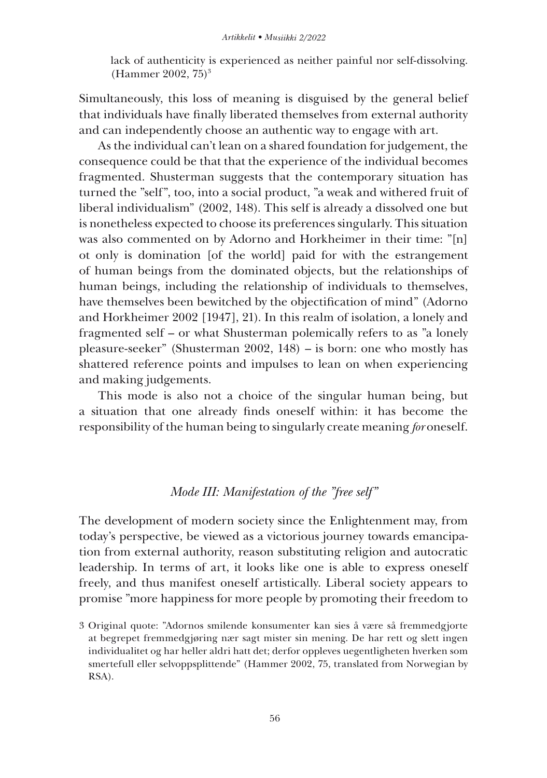lack of authenticity is experienced as neither painful nor self-dissolving. (Hammer 2002, 75)3

Simultaneously, this loss of meaning is disguised by the general belief that individuals have finally liberated themselves from external authority and can independently choose an authentic way to engage with art.

As the individual can't lean on a shared foundation for judgement, the consequence could be that that the experience of the individual becomes fragmented. Shusterman suggests that the contemporary situation has turned the "self", too, into a social product, "a weak and withered fruit of liberal individualism" (2002, 148). This self is already a dissolved one but is nonetheless expected to choose its preferences singularly. This situation was also commented on by Adorno and Horkheimer in their time: "[n] ot only is domination [of the world] paid for with the estrangement of human beings from the dominated objects, but the relationships of human beings, including the relationship of individuals to themselves, have themselves been bewitched by the objectification of mind" (Adorno and Horkheimer 2002 [1947], 21). In this realm of isolation, a lonely and fragmented self – or what Shusterman polemically refers to as "a lonely pleasure-seeker" (Shusterman 2002, 148) – is born: one who mostly has shattered reference points and impulses to lean on when experiencing and making judgements.

This mode is also not a choice of the singular human being, but a situation that one already finds oneself within: it has become the responsibility of the human being to singularly create meaning *for* oneself.

# *Mode III: Manifestation of the "free self"*

The development of modern society since the Enlightenment may, from today's perspective, be viewed as a victorious journey towards emancipation from external authority, reason substituting religion and autocratic leadership. In terms of art, it looks like one is able to express oneself freely, and thus manifest oneself artistically. Liberal society appears to promise "more happiness for more people by promoting their freedom to

<sup>3</sup> Original quote: "Adornos smilende konsumenter kan sies å være så fremmedgjorte at begrepet fremmedgjøring nær sagt mister sin mening. De har rett og slett ingen individualitet og har heller aldri hatt det; derfor oppleves uegentligheten hverken som smertefull eller selvoppsplittende" (Hammer 2002, 75, translated from Norwegian by RSA).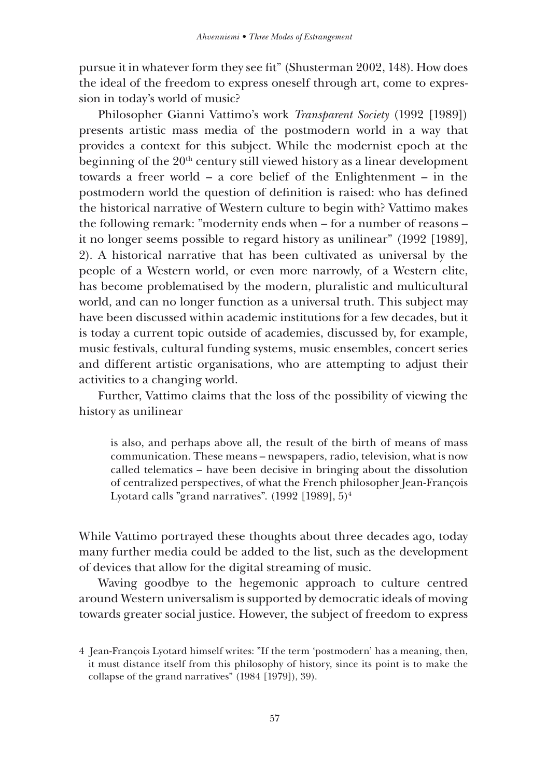pursue it in whatever form they see fit" (Shusterman 2002, 148). How does the ideal of the freedom to express oneself through art, come to expression in today's world of music?

Philosopher Gianni Vattimo's work *Transparent Society* (1992 [1989]) presents artistic mass media of the postmodern world in a way that provides a context for this subject. While the modernist epoch at the beginning of the  $20<sup>th</sup>$  century still viewed history as a linear development towards a freer world – a core belief of the Enlightenment – in the postmodern world the question of definition is raised: who has defined the historical narrative of Western culture to begin with? Vattimo makes the following remark: "modernity ends when – for a number of reasons – it no longer seems possible to regard history as unilinear" (1992 [1989], 2). A historical narrative that has been cultivated as universal by the people of a Western world, or even more narrowly, of a Western elite, has become problematised by the modern, pluralistic and multicultural world, and can no longer function as a universal truth. This subject may have been discussed within academic institutions for a few decades, but it is today a current topic outside of academies, discussed by, for example, music festivals, cultural funding systems, music ensembles, concert series and different artistic organisations, who are attempting to adjust their activities to a changing world.

Further, Vattimo claims that the loss of the possibility of viewing the history as unilinear

is also, and perhaps above all, the result of the birth of means of mass communication. These means – newspapers, radio, television, what is now called telematics – have been decisive in bringing about the dissolution of centralized perspectives, of what the French philosopher Jean-François Lyotard calls "grand narratives".  $(1992 \mid 1989]$ ,  $5)^4$ 

While Vattimo portrayed these thoughts about three decades ago, today many further media could be added to the list, such as the development of devices that allow for the digital streaming of music.

Waving goodbye to the hegemonic approach to culture centred around Western universalism is supported by democratic ideals of moving towards greater social justice. However, the subject of freedom to express

<sup>4</sup> Jean-François Lyotard himself writes: "If the term 'postmodern' has a meaning, then, it must distance itself from this philosophy of history, since its point is to make the collapse of the grand narratives" (1984 [1979]), 39).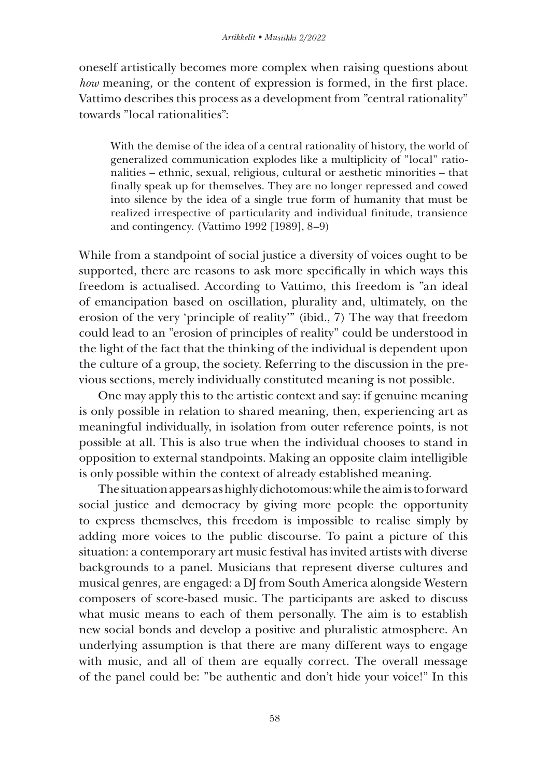oneself artistically becomes more complex when raising questions about *how* meaning, or the content of expression is formed, in the first place. Vattimo describes this process as a development from "central rationality" towards "local rationalities":

With the demise of the idea of a central rationality of history, the world of generalized communication explodes like a multiplicity of "local" rationalities – ethnic, sexual, religious, cultural or aesthetic minorities – that finally speak up for themselves. They are no longer repressed and cowed into silence by the idea of a single true form of humanity that must be realized irrespective of particularity and individual finitude, transience and contingency. (Vattimo 1992 [1989], 8–9)

While from a standpoint of social justice a diversity of voices ought to be supported, there are reasons to ask more specifically in which ways this freedom is actualised. According to Vattimo, this freedom is "an ideal of emancipation based on oscillation, plurality and, ultimately, on the erosion of the very 'principle of reality'" (ibid., 7) The way that freedom could lead to an "erosion of principles of reality" could be understood in the light of the fact that the thinking of the individual is dependent upon the culture of a group, the society. Referring to the discussion in the previous sections, merely individually constituted meaning is not possible.

One may apply this to the artistic context and say: if genuine meaning is only possible in relation to shared meaning, then, experiencing art as meaningful individually, in isolation from outer reference points, is not possible at all. This is also true when the individual chooses to stand in opposition to external standpoints. Making an opposite claim intelligible is only possible within the context of already established meaning.

The situation appears as highly dichotomous: while the aim is to forward social justice and democracy by giving more people the opportunity to express themselves, this freedom is impossible to realise simply by adding more voices to the public discourse. To paint a picture of this situation: a contemporary art music festival has invited artists with diverse backgrounds to a panel. Musicians that represent diverse cultures and musical genres, are engaged: a DJ from South America alongside Western composers of score-based music. The participants are asked to discuss what music means to each of them personally. The aim is to establish new social bonds and develop a positive and pluralistic atmosphere. An underlying assumption is that there are many different ways to engage with music, and all of them are equally correct. The overall message of the panel could be: "be authentic and don't hide your voice!" In this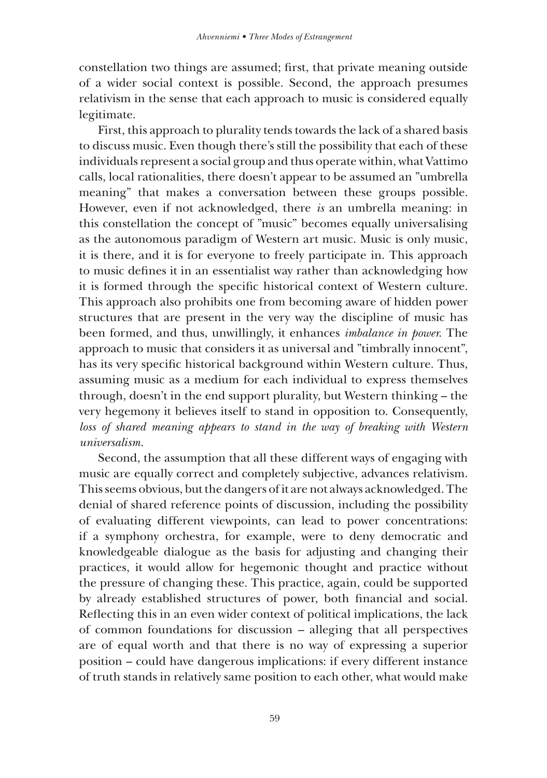constellation two things are assumed; first, that private meaning outside of a wider social context is possible. Second, the approach presumes relativism in the sense that each approach to music is considered equally legitimate.

First, this approach to plurality tends towards the lack of a shared basis to discuss music. Even though there's still the possibility that each of these individuals represent a social group and thus operate within, what Vattimo calls, local rationalities, there doesn't appear to be assumed an "umbrella meaning" that makes a conversation between these groups possible. However, even if not acknowledged, there *is* an umbrella meaning: in this constellation the concept of "music" becomes equally universalising as the autonomous paradigm of Western art music. Music is only music, it is there, and it is for everyone to freely participate in. This approach to music defines it in an essentialist way rather than acknowledging how it is formed through the specific historical context of Western culture. This approach also prohibits one from becoming aware of hidden power structures that are present in the very way the discipline of music has been formed, and thus, unwillingly, it enhances *imbalance in power*. The approach to music that considers it as universal and "timbrally innocent", has its very specific historical background within Western culture. Thus, assuming music as a medium for each individual to express themselves through, doesn't in the end support plurality, but Western thinking – the very hegemony it believes itself to stand in opposition to. Consequently, *loss of shared meaning appears to stand in the way of breaking with Western universalism*.

Second, the assumption that all these different ways of engaging with music are equally correct and completely subjective, advances relativism. This seems obvious, but the dangers of it are not always acknowledged. The denial of shared reference points of discussion, including the possibility of evaluating different viewpoints, can lead to power concentrations: if a symphony orchestra, for example, were to deny democratic and knowledgeable dialogue as the basis for adjusting and changing their practices, it would allow for hegemonic thought and practice without the pressure of changing these. This practice, again, could be supported by already established structures of power, both financial and social. Reflecting this in an even wider context of political implications, the lack of common foundations for discussion – alleging that all perspectives are of equal worth and that there is no way of expressing a superior position – could have dangerous implications: if every different instance of truth stands in relatively same position to each other, what would make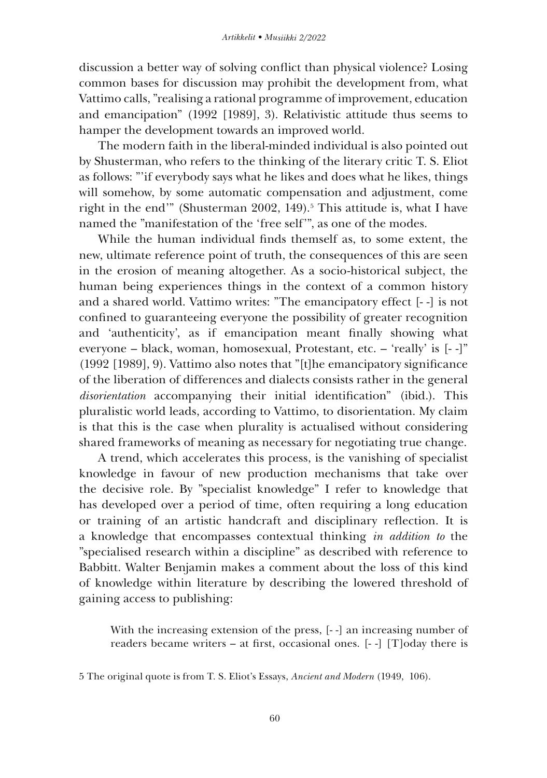discussion a better way of solving conflict than physical violence? Losing common bases for discussion may prohibit the development from, what Vattimo calls, "realising a rational programme of improvement, education and emancipation" (1992 [1989], 3). Relativistic attitude thus seems to hamper the development towards an improved world.

The modern faith in the liberal-minded individual is also pointed out by Shusterman, who refers to the thinking of the literary critic T. S. Eliot as follows: "'if everybody says what he likes and does what he likes, things will somehow, by some automatic compensation and adjustment, come right in the end" (Shusterman 2002, 149).<sup>5</sup> This attitude is, what I have named the "manifestation of the 'free self'", as one of the modes.

While the human individual finds themself as, to some extent, the new, ultimate reference point of truth, the consequences of this are seen in the erosion of meaning altogether. As a socio-historical subject, the human being experiences things in the context of a common history and a shared world. Vattimo writes: "The emancipatory effect [- -] is not confined to guaranteeing everyone the possibility of greater recognition and 'authenticity', as if emancipation meant finally showing what everyone – black, woman, homosexual, Protestant, etc. – 'really' is [- -]" (1992 [1989], 9). Vattimo also notes that "[t]he emancipatory significance of the liberation of differences and dialects consists rather in the general *disorientation* accompanying their initial identification" (ibid.). This pluralistic world leads, according to Vattimo, to disorientation. My claim is that this is the case when plurality is actualised without considering shared frameworks of meaning as necessary for negotiating true change.

A trend, which accelerates this process, is the vanishing of specialist knowledge in favour of new production mechanisms that take over the decisive role. By "specialist knowledge" I refer to knowledge that has developed over a period of time, often requiring a long education or training of an artistic handcraft and disciplinary reflection. It is a knowledge that encompasses contextual thinking *in addition to* the "specialised research within a discipline" as described with reference to Babbitt. Walter Benjamin makes a comment about the loss of this kind of knowledge within literature by describing the lowered threshold of gaining access to publishing:

With the increasing extension of the press, [- -] an increasing number of readers became writers – at first, occasional ones.  $[-1]$  [T]oday there is

<sup>5</sup> The original quote is from T. S. Eliot's Essays, *Ancient and Modern* (1949, 106).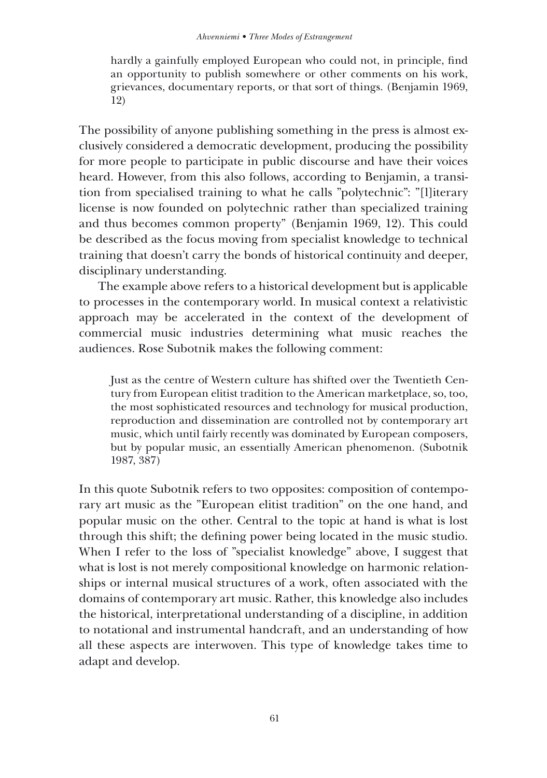hardly a gainfully employed European who could not, in principle, find an opportunity to publish somewhere or other comments on his work, grievances, documentary reports, or that sort of things. (Benjamin 1969, 12)

The possibility of anyone publishing something in the press is almost exclusively considered a democratic development, producing the possibility for more people to participate in public discourse and have their voices heard. However, from this also follows, according to Benjamin, a transition from specialised training to what he calls "polytechnic": "[l]iterary license is now founded on polytechnic rather than specialized training and thus becomes common property" (Benjamin 1969, 12). This could be described as the focus moving from specialist knowledge to technical training that doesn't carry the bonds of historical continuity and deeper, disciplinary understanding.

The example above refers to a historical development but is applicable to processes in the contemporary world. In musical context a relativistic approach may be accelerated in the context of the development of commercial music industries determining what music reaches the audiences. Rose Subotnik makes the following comment:

Just as the centre of Western culture has shifted over the Twentieth Century from European elitist tradition to the American marketplace, so, too, the most sophisticated resources and technology for musical production, reproduction and dissemination are controlled not by contemporary art music, which until fairly recently was dominated by European composers, but by popular music, an essentially American phenomenon. (Subotnik 1987, 387)

In this quote Subotnik refers to two opposites: composition of contemporary art music as the "European elitist tradition" on the one hand, and popular music on the other. Central to the topic at hand is what is lost through this shift; the defining power being located in the music studio. When I refer to the loss of "specialist knowledge" above, I suggest that what is lost is not merely compositional knowledge on harmonic relationships or internal musical structures of a work, often associated with the domains of contemporary art music. Rather, this knowledge also includes the historical, interpretational understanding of a discipline, in addition to notational and instrumental handcraft, and an understanding of how all these aspects are interwoven. This type of knowledge takes time to adapt and develop.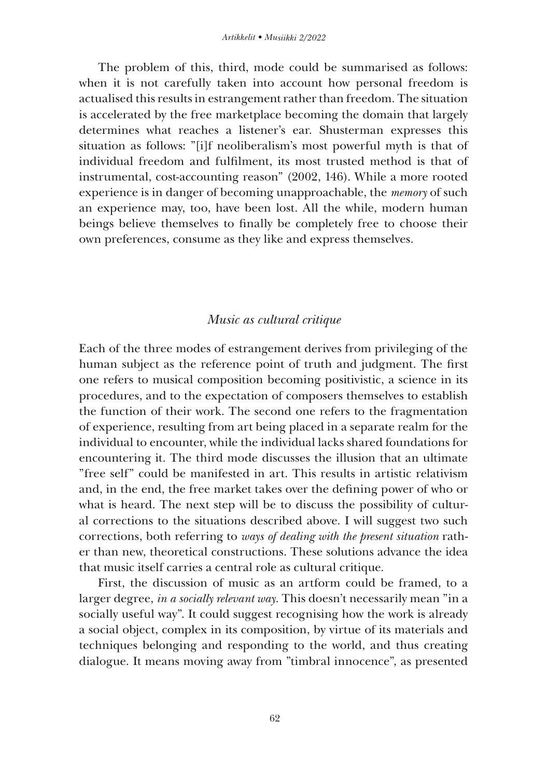The problem of this, third, mode could be summarised as follows: when it is not carefully taken into account how personal freedom is actualised this results in estrangement rather than freedom. The situation is accelerated by the free marketplace becoming the domain that largely determines what reaches a listener's ear. Shusterman expresses this situation as follows: "[i]f neoliberalism's most powerful myth is that of individual freedom and fulfilment, its most trusted method is that of instrumental, cost-accounting reason" (2002, 146). While a more rooted experience is in danger of becoming unapproachable, the *memory* of such an experience may, too, have been lost. All the while, modern human beings believe themselves to finally be completely free to choose their own preferences, consume as they like and express themselves.

### *Music as cultural critique*

Each of the three modes of estrangement derives from privileging of the human subject as the reference point of truth and judgment. The first one refers to musical composition becoming positivistic, a science in its procedures, and to the expectation of composers themselves to establish the function of their work. The second one refers to the fragmentation of experience, resulting from art being placed in a separate realm for the individual to encounter, while the individual lacks shared foundations for encountering it. The third mode discusses the illusion that an ultimate "free self" could be manifested in art. This results in artistic relativism and, in the end, the free market takes over the defining power of who or what is heard. The next step will be to discuss the possibility of cultural corrections to the situations described above. I will suggest two such corrections, both referring to *ways of dealing with the present situation* rather than new, theoretical constructions. These solutions advance the idea that music itself carries a central role as cultural critique.

First, the discussion of music as an artform could be framed, to a larger degree, *in a socially relevant way*. This doesn't necessarily mean "in a socially useful way". It could suggest recognising how the work is already a social object, complex in its composition, by virtue of its materials and techniques belonging and responding to the world, and thus creating dialogue. It means moving away from "timbral innocence", as presented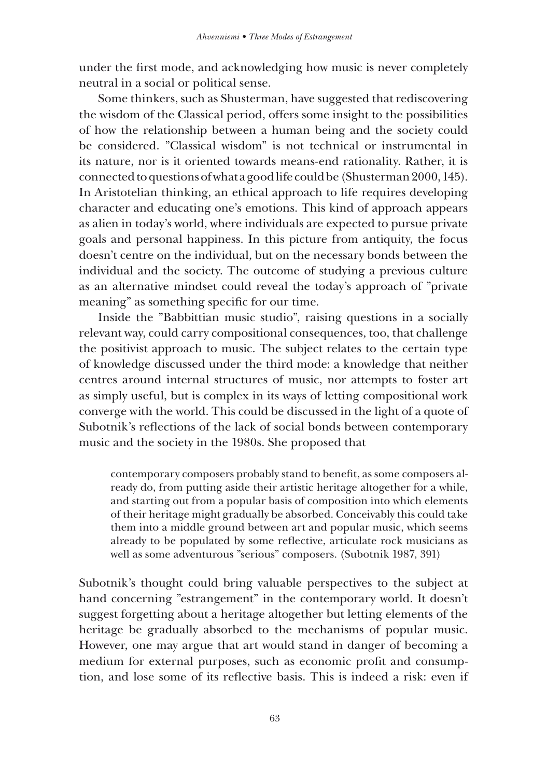under the first mode, and acknowledging how music is never completely neutral in a social or political sense.

Some thinkers, such as Shusterman, have suggested that rediscovering the wisdom of the Classical period, offers some insight to the possibilities of how the relationship between a human being and the society could be considered. "Classical wisdom" is not technical or instrumental in its nature, nor is it oriented towards means-end rationality. Rather, it is connected to questions of what a good life could be (Shusterman 2000, 145). In Aristotelian thinking, an ethical approach to life requires developing character and educating one's emotions. This kind of approach appears as alien in today's world, where individuals are expected to pursue private goals and personal happiness. In this picture from antiquity, the focus doesn't centre on the individual, but on the necessary bonds between the individual and the society. The outcome of studying a previous culture as an alternative mindset could reveal the today's approach of "private meaning" as something specific for our time.

Inside the "Babbittian music studio", raising questions in a socially relevant way, could carry compositional consequences, too, that challenge the positivist approach to music. The subject relates to the certain type of knowledge discussed under the third mode: a knowledge that neither centres around internal structures of music, nor attempts to foster art as simply useful, but is complex in its ways of letting compositional work converge with the world. This could be discussed in the light of a quote of Subotnik's reflections of the lack of social bonds between contemporary music and the society in the 1980s. She proposed that

contemporary composers probably stand to benefit, as some composers already do, from putting aside their artistic heritage altogether for a while, and starting out from a popular basis of composition into which elements of their heritage might gradually be absorbed. Conceivably this could take them into a middle ground between art and popular music, which seems already to be populated by some reflective, articulate rock musicians as well as some adventurous "serious" composers. (Subotnik 1987, 391)

Subotnik's thought could bring valuable perspectives to the subject at hand concerning "estrangement" in the contemporary world. It doesn't suggest forgetting about a heritage altogether but letting elements of the heritage be gradually absorbed to the mechanisms of popular music. However, one may argue that art would stand in danger of becoming a medium for external purposes, such as economic profit and consumption, and lose some of its reflective basis. This is indeed a risk: even if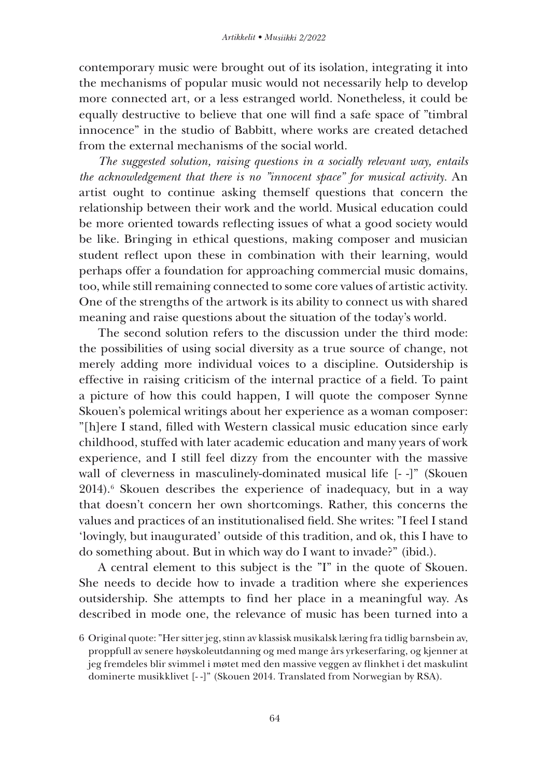contemporary music were brought out of its isolation, integrating it into the mechanisms of popular music would not necessarily help to develop more connected art, or a less estranged world. Nonetheless, it could be equally destructive to believe that one will find a safe space of "timbral innocence" in the studio of Babbitt, where works are created detached from the external mechanisms of the social world.

*The suggested solution, raising questions in a socially relevant way, entails the acknowledgement that there is no "innocent space" for musical activity.* An artist ought to continue asking themself questions that concern the relationship between their work and the world. Musical education could be more oriented towards reflecting issues of what a good society would be like. Bringing in ethical questions, making composer and musician student reflect upon these in combination with their learning, would perhaps offer a foundation for approaching commercial music domains, too, while still remaining connected to some core values of artistic activity. One of the strengths of the artwork is its ability to connect us with shared meaning and raise questions about the situation of the today's world.

The second solution refers to the discussion under the third mode: the possibilities of using social diversity as a true source of change, not merely adding more individual voices to a discipline. Outsidership is effective in raising criticism of the internal practice of a field. To paint a picture of how this could happen, I will quote the composer Synne Skouen's polemical writings about her experience as a woman composer: "[h]ere I stand, filled with Western classical music education since early childhood, stuffed with later academic education and many years of work experience, and I still feel dizzy from the encounter with the massive wall of cleverness in masculinely-dominated musical life [- -]" (Skouen 2014).6 Skouen describes the experience of inadequacy, but in a way that doesn't concern her own shortcomings. Rather, this concerns the values and practices of an institutionalised field. She writes: "I feel I stand 'lovingly, but inaugurated' outside of this tradition, and ok, this I have to do something about. But in which way do I want to invade?" (ibid.).

A central element to this subject is the "I" in the quote of Skouen. She needs to decide how to invade a tradition where she experiences outsidership. She attempts to find her place in a meaningful way. As described in mode one, the relevance of music has been turned into a

<sup>6</sup> Original quote: "Her sitter jeg, stinn av klassisk musikalsk læring fra tidlig barnsbein av, proppfull av senere høyskoleutdanning og med mange års yrkeserfaring, og kjenner at jeg fremdeles blir svimmel i møtet med den massive veggen av flinkhet i det maskulint dominerte musikklivet [- -]" (Skouen 2014. Translated from Norwegian by RSA).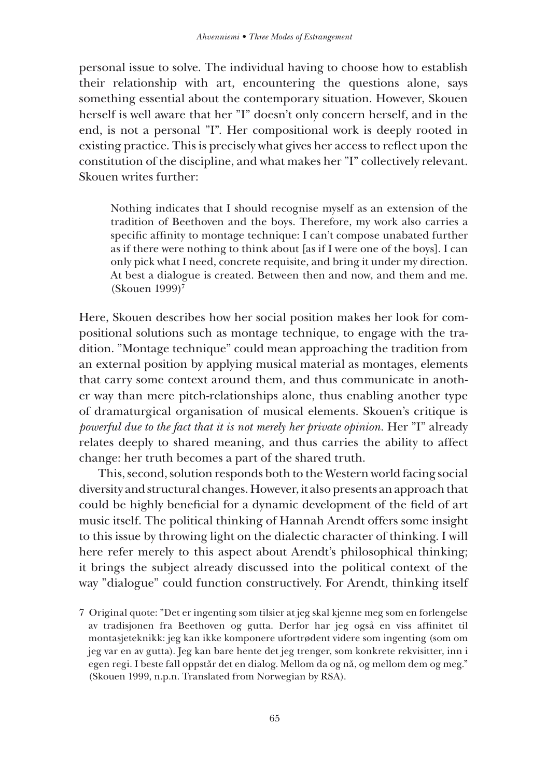personal issue to solve. The individual having to choose how to establish their relationship with art, encountering the questions alone, says something essential about the contemporary situation. However, Skouen herself is well aware that her "I" doesn't only concern herself, and in the end, is not a personal "I". Her compositional work is deeply rooted in existing practice. This is precisely what gives her access to reflect upon the constitution of the discipline, and what makes her "I" collectively relevant. Skouen writes further:

Nothing indicates that I should recognise myself as an extension of the tradition of Beethoven and the boys. Therefore, my work also carries a specific affinity to montage technique: I can't compose unabated further as if there were nothing to think about [as if I were one of the boys]. I can only pick what I need, concrete requisite, and bring it under my direction. At best a dialogue is created. Between then and now, and them and me. (Skouen 1999)7

Here, Skouen describes how her social position makes her look for compositional solutions such as montage technique, to engage with the tradition. "Montage technique" could mean approaching the tradition from an external position by applying musical material as montages, elements that carry some context around them, and thus communicate in another way than mere pitch-relationships alone, thus enabling another type of dramaturgical organisation of musical elements. Skouen's critique is *powerful due to the fact that it is not merely her private opinion*. Her "I" already relates deeply to shared meaning, and thus carries the ability to affect change: her truth becomes a part of the shared truth.

This, second, solution responds both to the Western world facing social diversity and structural changes. However, it also presents an approach that could be highly beneficial for a dynamic development of the field of art music itself. The political thinking of Hannah Arendt offers some insight to this issue by throwing light on the dialectic character of thinking. I will here refer merely to this aspect about Arendt's philosophical thinking; it brings the subject already discussed into the political context of the way "dialogue" could function constructively. For Arendt, thinking itself

<sup>7</sup> Original quote: "Det er ingenting som tilsier at jeg skal kjenne meg som en forlengelse av tradisjonen fra Beethoven og gutta. Derfor har jeg også en viss affinitet til montasjeteknikk: jeg kan ikke komponere ufortrødent videre som ingenting (som om jeg var en av gutta). Jeg kan bare hente det jeg trenger, som konkrete rekvisitter, inn i egen regi. I beste fall oppstår det en dialog. Mellom da og nå, og mellom dem og meg." (Skouen 1999, n.p.n. Translated from Norwegian by RSA).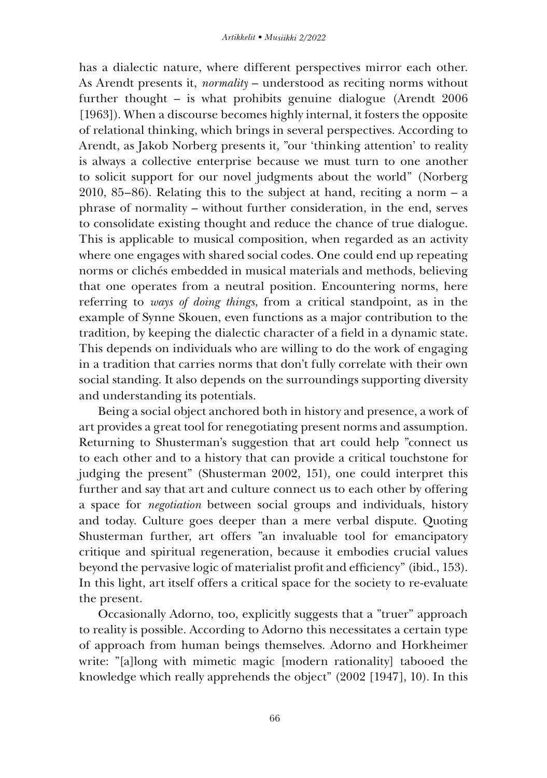has a dialectic nature, where different perspectives mirror each other. As Arendt presents it, *normality* – understood as reciting norms without further thought – is what prohibits genuine dialogue (Arendt 2006 [1963]). When a discourse becomes highly internal, it fosters the opposite of relational thinking, which brings in several perspectives. According to Arendt, as Jakob Norberg presents it, "our 'thinking attention' to reality is always a collective enterprise because we must turn to one another to solicit support for our novel judgments about the world" (Norberg 2010, 85–86). Relating this to the subject at hand, reciting a norm – a phrase of normality – without further consideration, in the end, serves to consolidate existing thought and reduce the chance of true dialogue. This is applicable to musical composition, when regarded as an activity where one engages with shared social codes. One could end up repeating norms or clichés embedded in musical materials and methods, believing that one operates from a neutral position. Encountering norms, here referring to *ways of doing things*, from a critical standpoint, as in the example of Synne Skouen, even functions as a major contribution to the tradition, by keeping the dialectic character of a field in a dynamic state. This depends on individuals who are willing to do the work of engaging in a tradition that carries norms that don't fully correlate with their own social standing. It also depends on the surroundings supporting diversity and understanding its potentials.

Being a social object anchored both in history and presence, a work of art provides a great tool for renegotiating present norms and assumption. Returning to Shusterman's suggestion that art could help "connect us to each other and to a history that can provide a critical touchstone for judging the present" (Shusterman 2002, 151), one could interpret this further and say that art and culture connect us to each other by offering a space for *negotiation* between social groups and individuals, history and today. Culture goes deeper than a mere verbal dispute. Quoting Shusterman further, art offers "an invaluable tool for emancipatory critique and spiritual regeneration, because it embodies crucial values beyond the pervasive logic of materialist profit and efficiency" (ibid., 153). In this light, art itself offers a critical space for the society to re-evaluate the present.

Occasionally Adorno, too, explicitly suggests that a "truer" approach to reality is possible. According to Adorno this necessitates a certain type of approach from human beings themselves. Adorno and Horkheimer write: "[a]long with mimetic magic [modern rationality] tabooed the knowledge which really apprehends the object" (2002 [1947], 10). In this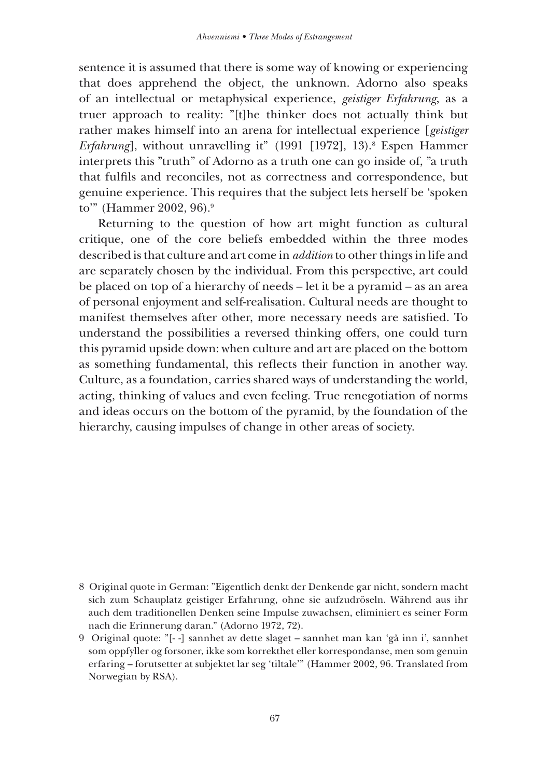sentence it is assumed that there is some way of knowing or experiencing that does apprehend the object, the unknown. Adorno also speaks of an intellectual or metaphysical experience, *geistiger Erfahrung*, as a truer approach to reality: "[t]he thinker does not actually think but rather makes himself into an arena for intellectual experience [*geistiger Erfahrung*], without unravelling it" (1991 [1972], 13).<sup>8</sup> Espen Hammer interprets this "truth" of Adorno as a truth one can go inside of, "a truth that fulfils and reconciles, not as correctness and correspondence, but genuine experience. This requires that the subject lets herself be 'spoken to" (Hammer 2002, 96).<sup>9</sup>

Returning to the question of how art might function as cultural critique, one of the core beliefs embedded within the three modes described is that culture and art come in *addition* to other things in life and are separately chosen by the individual. From this perspective, art could be placed on top of a hierarchy of needs – let it be a pyramid – as an area of personal enjoyment and self-realisation. Cultural needs are thought to manifest themselves after other, more necessary needs are satisfied. To understand the possibilities a reversed thinking offers, one could turn this pyramid upside down: when culture and art are placed on the bottom as something fundamental, this reflects their function in another way. Culture, as a foundation, carries shared ways of understanding the world, acting, thinking of values and even feeling. True renegotiation of norms and ideas occurs on the bottom of the pyramid, by the foundation of the hierarchy, causing impulses of change in other areas of society.

<sup>8</sup> Original quote in German: "Eigentlich denkt der Denkende gar nicht, sondern macht sich zum Schauplatz geistiger Erfahrung, ohne sie aufzudröseln. Während aus ihr auch dem traditionellen Denken seine Impulse zuwachsen, eliminiert es seiner Form nach die Erinnerung daran." (Adorno 1972, 72).

<sup>9</sup> Original quote: "[- -] sannhet av dette slaget – sannhet man kan 'gå inn i', sannhet som oppfyller og forsoner, ikke som korrekthet eller korrespondanse, men som genuin erfaring – forutsetter at subjektet lar seg 'tiltale'" (Hammer 2002, 96. Translated from Norwegian by RSA).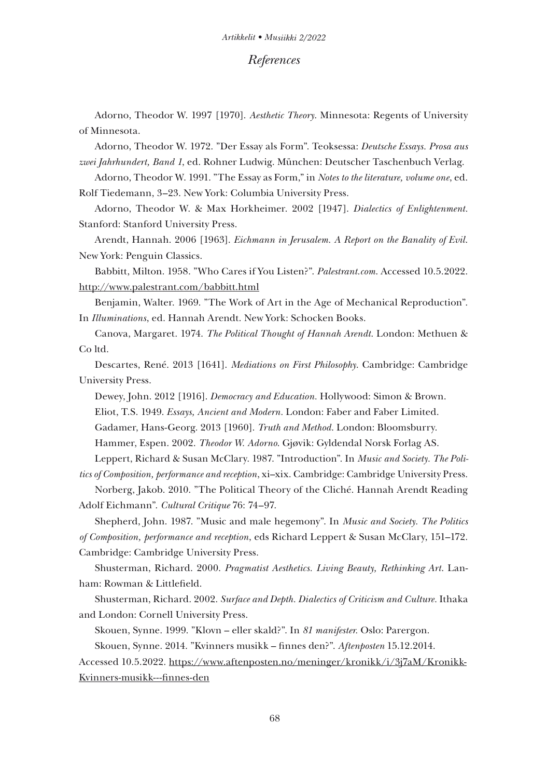#### *References*

Adorno, Theodor W. 1997 [1970]. *Aesthetic Theory*. Minnesota: Regents of University of Minnesota.

Adorno, Theodor W. 1972. "Der Essay als Form". Teoksessa: *Deutsche Essays. Prosa aus zwei Jahrhundert, Band 1*, ed. Rohner Ludwig. München: Deutscher Taschenbuch Verlag.

Adorno, Theodor W. 1991. "The Essay as Form," in *Notes to the literature, volume one*, ed. Rolf Tiedemann, 3–23. New York: Columbia University Press.

Adorno, Theodor W. & Max Horkheimer. 2002 [1947]. *Dialectics of Enlightenment.* Stanford: Stanford University Press.

Arendt, Hannah. 2006 [1963]. *Eichmann in Jerusalem. A Report on the Banality of Evil*. New York: Penguin Classics.

Babbitt, Milton. 1958. "Who Cares if You Listen?". *Palestrant.com*. Accessed 10.5.2022. http://www.palestrant.com/babbitt.html

Benjamin, Walter. 1969. "The Work of Art in the Age of Mechanical Reproduction". In *Illuminations*, ed. Hannah Arendt. New York: Schocken Books.

Canova, Margaret. 1974. *The Political Thought of Hannah Arendt*. London: Methuen & Co ltd.

Descartes, René. 2013 [1641]. *Mediations on First Philosophy*. Cambridge: Cambridge University Press.

Dewey, John. 2012 [1916]. *Democracy and Education.* Hollywood: Simon & Brown. Eliot, T.S. 1949. *Essays, Ancient and Modern.* London: Faber and Faber Limited. Gadamer, Hans-Georg. 2013 [1960]. *Truth and Method*. London: Bloomsburry. Hammer, Espen. 2002. *Theodor W. Adorno*. Gjøvik: Gyldendal Norsk Forlag AS.

Leppert, Richard & Susan McClary. 1987. "Introduction". In *Music and Society. The Politics of Composition, performance and reception*, xi–xix. Cambridge: Cambridge University Press.

Norberg, Jakob. 2010. "The Political Theory of the Cliché. Hannah Arendt Reading Adolf Eichmann". *Cultural Critique* 76: 74–97.

Shepherd, John. 1987. "Music and male hegemony". In *Music and Society. The Politics of Composition, performance and reception*, eds Richard Leppert & Susan McClary, 151–172. Cambridge: Cambridge University Press.

Shusterman, Richard. 2000. *Pragmatist Aesthetics. Living Beauty, Rethinking Art*. Lanham: Rowman & Littlefield.

Shusterman, Richard. 2002. *Surface and Depth. Dialectics of Criticism and Culture.* Ithaka and London: Cornell University Press.

Skouen, Synne. 1999. "Klovn – eller skald?". In *81 manifester.* Oslo: Parergon.

Skouen, Synne. 2014. "Kvinners musikk – finnes den?". *Aftenposten* 15.12.2014.

Accessed 10.5.2022. https://www.aftenposten.no/meninger/kronikk/i/3j7aM/Kronikk-Kvinners-musikk---finnes-den